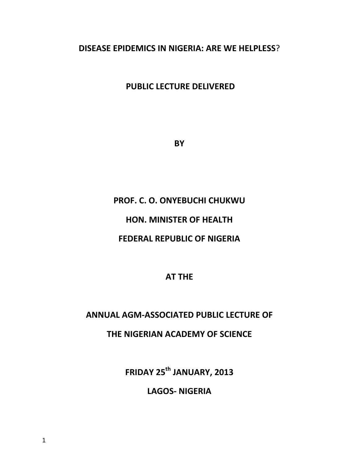## **DISEASE EPIDEMICS IN NIGERIA: ARE WE HELPLESS**?

# **PUBLIC LECTURE DELIVERED**

**BY** 

# **PROF. C. O. ONYEBUCHI CHUKWU**

# **HON. MINISTER OF HEALTH**

## **FEDERAL REPUBLIC OF NIGERIA**

### **AT THE**

### **ANNUAL AGM-ASSOCIATED PUBLIC LECTURE OF**

## **THE NIGERIAN ACADEMY OF SCIENCE**

**FRIDAY 25th JANUARY, 2013**

**LAGOS- NIGERIA**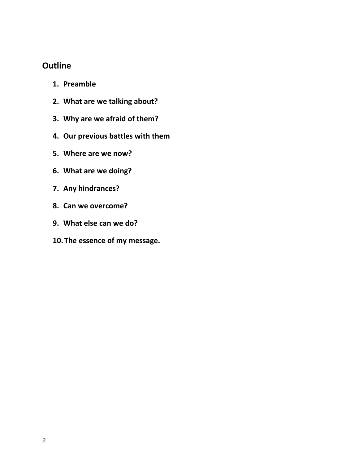# **Outline**

- **1. Preamble**
- **2. What are we talking about?**
- **3. Why are we afraid of them?**
- **4. Our previous battles with them**
- **5. Where are we now?**
- **6. What are we doing?**
- **7. Any hindrances?**
- **8. Can we overcome?**
- **9. What else can we do?**
- **10. The essence of my message.**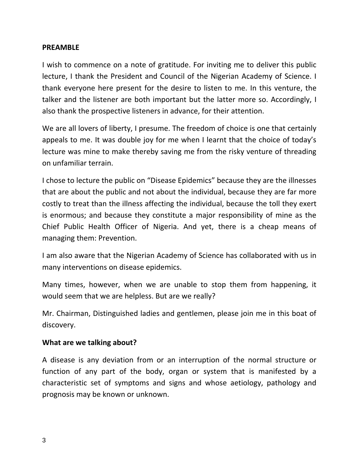#### **PREAMBLE**

I wish to commence on a note of gratitude. For inviting me to deliver this public lecture, I thank the President and Council of the Nigerian Academy of Science. I thank everyone here present for the desire to listen to me. In this venture, the talker and the listener are both important but the latter more so. Accordingly, I also thank the prospective listeners in advance, for their attention.

We are all lovers of liberty, I presume. The freedom of choice is one that certainly appeals to me. It was double joy for me when I learnt that the choice of today's lecture was mine to make thereby saving me from the risky venture of threading on unfamiliar terrain.

I chose to lecture the public on "Disease Epidemics" because they are the illnesses that are about the public and not about the individual, because they are far more costly to treat than the illness affecting the individual, because the toll they exert is enormous; and because they constitute a major responsibility of mine as the Chief Public Health Officer of Nigeria. And yet, there is a cheap means of managing them: Prevention.

I am also aware that the Nigerian Academy of Science has collaborated with us in many interventions on disease epidemics.

Many times, however, when we are unable to stop them from happening, it would seem that we are helpless. But are we really?

Mr. Chairman, Distinguished ladies and gentlemen, please join me in this boat of discovery.

### **What are we talking about?**

A disease is any deviation from or an interruption of the normal structure or function of any part of the body, organ or system that is manifested by a characteristic set of symptoms and signs and whose aetiology, pathology and prognosis may be known or unknown.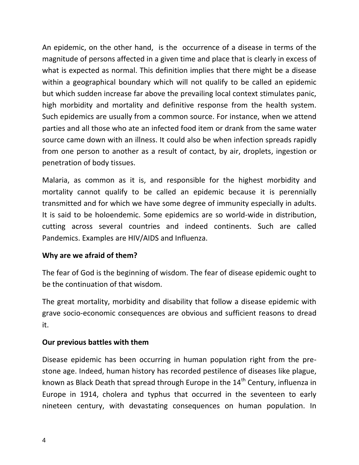An epidemic, on the other hand, is the occurrence of a disease in terms of the magnitude of persons affected in a given time and place that is clearly in excess of what is expected as normal. This definition implies that there might be a disease within a geographical boundary which will not qualify to be called an epidemic but which sudden increase far above the prevailing local context stimulates panic, high morbidity and mortality and definitive response from the health system. Such epidemics are usually from a common source. For instance, when we attend parties and all those who ate an infected food item or drank from the same water source came down with an illness. It could also be when infection spreads rapidly from one person to another as a result of contact, by air, droplets, ingestion or penetration of body tissues.

Malaria, as common as it is, and responsible for the highest morbidity and mortality cannot qualify to be called an epidemic because it is perennially transmitted and for which we have some degree of immunity especially in adults. It is said to be holoendemic. Some epidemics are so world-wide in distribution, cutting across several countries and indeed continents. Such are called Pandemics. Examples are HIV/AIDS and Influenza.

### **Why are we afraid of them?**

The fear of God is the beginning of wisdom. The fear of disease epidemic ought to be the continuation of that wisdom.

The great mortality, morbidity and disability that follow a disease epidemic with grave socio-economic consequences are obvious and sufficient reasons to dread it.

### **Our previous battles with them**

Disease epidemic has been occurring in human population right from the prestone age. Indeed, human history has recorded pestilence of diseases like plague, known as Black Death that spread through Europe in the  $14^{th}$  Century, influenza in Europe in 1914, cholera and typhus that occurred in the seventeen to early nineteen century, with devastating consequences on human population. In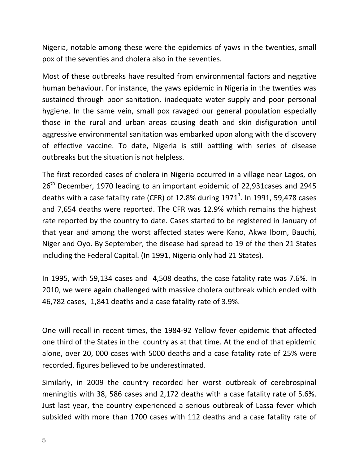Nigeria, notable among these were the epidemics of yaws in the twenties, small pox of the seventies and cholera also in the seventies.

Most of these outbreaks have resulted from environmental factors and negative human behaviour. For instance, the yaws epidemic in Nigeria in the twenties was sustained through poor sanitation, inadequate water supply and poor personal hygiene. In the same vein, small pox ravaged our general population especially those in the rural and urban areas causing death and skin disfiguration until aggressive environmental sanitation was embarked upon along with the discovery of effective vaccine. To date, Nigeria is still battling with series of disease outbreaks but the situation is not helpless.

The first recorded cases of cholera in Nigeria occurred in a village near Lagos, on 26<sup>th</sup> December, 1970 leading to an important epidemic of 22,931 cases and 2945 deaths with a case fatality rate (CFR) of 12.8% during 1971<sup>1</sup>. In 1991, 59,478 cases and 7,654 deaths were reported. The CFR was 12.9% which remains the highest rate reported by the country to date. Cases started to be registered in January of that year and among the worst affected states were Kano, Akwa Ibom, Bauchi, Niger and Oyo. By September, the disease had spread to 19 of the then 21 States including the Federal Capital. (In 1991, Nigeria only had 21 States).

In 1995, with 59,134 cases and 4,508 deaths, the case fatality rate was 7.6%. In 2010, we were again challenged with massive cholera outbreak which ended with 46,782 cases, 1,841 deaths and a case fatality rate of 3.9%.

One will recall in recent times, the 1984-92 Yellow fever epidemic that affected one third of the States in the country as at that time. At the end of that epidemic alone, over 20, 000 cases with 5000 deaths and a case fatality rate of 25% were recorded, figures believed to be underestimated.

Similarly, in 2009 the country recorded her worst outbreak of cerebrospinal meningitis with 38, 586 cases and 2,172 deaths with a case fatality rate of 5.6%. Just last year, the country experienced a serious outbreak of Lassa fever which subsided with more than 1700 cases with 112 deaths and a case fatality rate of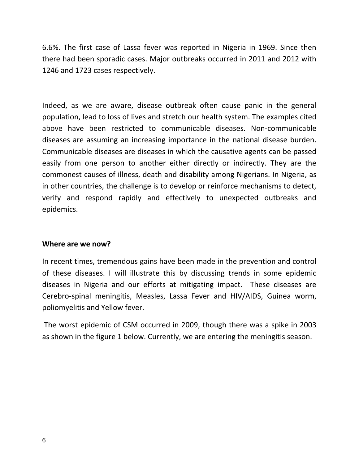6.6%. The first case of Lassa fever was reported in Nigeria in 1969. Since then there had been sporadic cases. Major outbreaks occurred in 2011 and 2012 with 1246 and 1723 cases respectively.

Indeed, as we are aware, disease outbreak often cause panic in the general population, lead to loss of lives and stretch our health system. The examples cited above have been restricted to communicable diseases. Non-communicable diseases are assuming an increasing importance in the national disease burden. Communicable diseases are diseases in which the causative agents can be passed easily from one person to another either directly or indirectly. They are the commonest causes of illness, death and disability among Nigerians. In Nigeria, as in other countries, the challenge is to develop or reinforce mechanisms to detect, verify and respond rapidly and effectively to unexpected outbreaks and epidemics.

#### **Where are we now?**

In recent times, tremendous gains have been made in the prevention and control of these diseases. I will illustrate this by discussing trends in some epidemic diseases in Nigeria and our efforts at mitigating impact. These diseases are Cerebro-spinal meningitis, Measles, Lassa Fever and HIV/AIDS, Guinea worm, poliomyelitis and Yellow fever.

The worst epidemic of CSM occurred in 2009, though there was a spike in 2003 as shown in the figure 1 below. Currently, we are entering the meningitis season.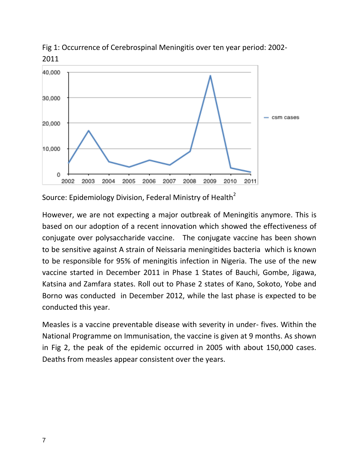

Fig 1: Occurrence of Cerebrospinal Meningitis over ten year period: 2002- 2011

Source: Epidemiology Division, Federal Ministry of Health<sup>2</sup>

However, we are not expecting a major outbreak of Meningitis anymore. This is based on our adoption of a recent innovation which showed the effectiveness of conjugate over polysaccharide vaccine. The conjugate vaccine has been shown to be sensitive against A strain of Neissaria meningitides bacteria which is known to be responsible for 95% of meningitis infection in Nigeria. The use of the new vaccine started in December 2011 in Phase 1 States of Bauchi, Gombe, Jigawa, Katsina and Zamfara states. Roll out to Phase 2 states of Kano, Sokoto, Yobe and Borno was conducted in December 2012, while the last phase is expected to be conducted this year.

Measles is a vaccine preventable disease with severity in under- fives. Within the National Programme on Immunisation, the vaccine is given at 9 months. As shown in Fig 2, the peak of the epidemic occurred in 2005 with about 150,000 cases. Deaths from measles appear consistent over the years.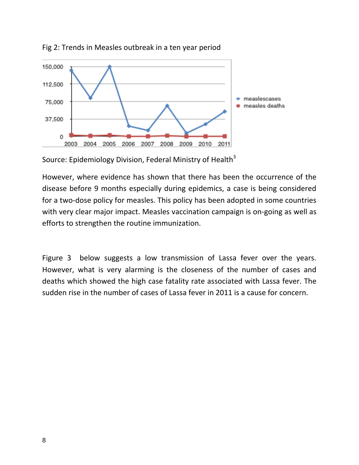



Source: Epidemiology Division, Federal Ministry of Health<sup>3</sup>

However, where evidence has shown that there has been the occurrence of the disease before 9 months especially during epidemics, a case is being considered for a two-dose policy for measles. This policy has been adopted in some countries with very clear major impact. Measles vaccination campaign is on-going as well as efforts to strengthen the routine immunization.

Figure 3 below suggests a low transmission of Lassa fever over the years. However, what is very alarming is the closeness of the number of cases and deaths which showed the high case fatality rate associated with Lassa fever. The sudden rise in the number of cases of Lassa fever in 2011 is a cause for concern.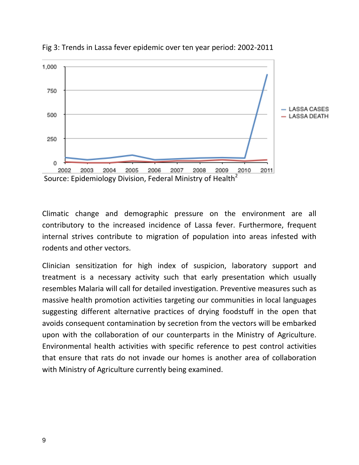

Fig 3: Trends in Lassa fever epidemic over ten year period: 2002-2011

Climatic change and demographic pressure on the environment are all contributory to the increased incidence of Lassa fever. Furthermore, frequent internal strives contribute to migration of population into areas infested with rodents and other vectors.

Clinician sensitization for high index of suspicion, laboratory support and treatment is a necessary activity such that early presentation which usually resembles Malaria will call for detailed investigation. Preventive measures such as massive health promotion activities targeting our communities in local languages suggesting different alternative practices of drying foodstuff in the open that avoids consequent contamination by secretion from the vectors will be embarked upon with the collaboration of our counterparts in the Ministry of Agriculture. Environmental health activities with specific reference to pest control activities that ensure that rats do not invade our homes is another area of collaboration with Ministry of Agriculture currently being examined.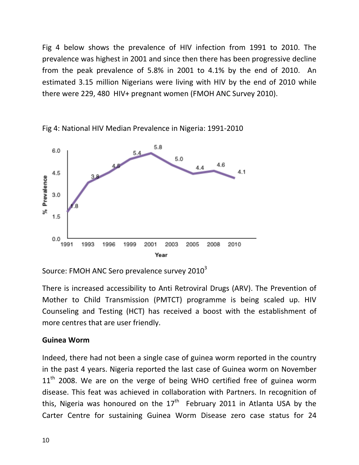Fig 4 below shows the prevalence of HIV infection from 1991 to 2010. The prevalence was highest in 2001 and since then there has been progressive decline from the peak prevalence of 5.8% in 2001 to 4.1% by the end of 2010. An estimated 3.15 million Nigerians were living with HIV by the end of 2010 while there were 229, 480 HIV+ pregnant women (FMOH ANC Survey 2010).



Fig 4: National HIV Median Prevalence in Nigeria: 1991-2010

Source: FMOH ANC Sero prevalence survey 2010 $^3$ 

There is increased accessibility to Anti Retroviral Drugs (ARV). The Prevention of Mother to Child Transmission (PMTCT) programme is being scaled up. HIV Counseling and Testing (HCT) has received a boost with the establishment of more centres that are user friendly.

### **Guinea Worm**

Indeed, there had not been a single case of guinea worm reported in the country in the past 4 years. Nigeria reported the last case of Guinea worm on November  $11<sup>th</sup>$  2008. We are on the verge of being WHO certified free of guinea worm disease. This feat was achieved in collaboration with Partners. In recognition of this, Nigeria was honoured on the  $17<sup>th</sup>$  February 2011 in Atlanta USA by the Carter Centre for sustaining Guinea Worm Disease zero case status for 24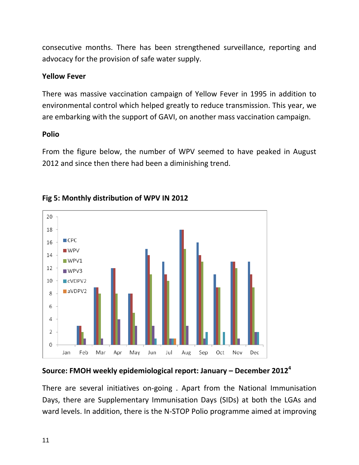consecutive months. There has been strengthened surveillance, reporting and advocacy for the provision of safe water supply.

### **Yellow Fever**

There was massive vaccination campaign of Yellow Fever in 1995 in addition to environmental control which helped greatly to reduce transmission. This year, we are embarking with the support of GAVI, on another mass vaccination campaign.

### **Polio**

From the figure below, the number of WPV seemed to have peaked in August 2012 and since then there had been a diminishing trend.



## **Fig 5: Monthly distribution of WPV IN 2012**

## **Source: FMOH weekly epidemiological report: January – December 2012<sup>4</sup>**

There are several initiatives on-going . Apart from the National Immunisation Days, there are Supplementary Immunisation Days (SIDs) at both the LGAs and ward levels. In addition, there is the N-STOP Polio programme aimed at improving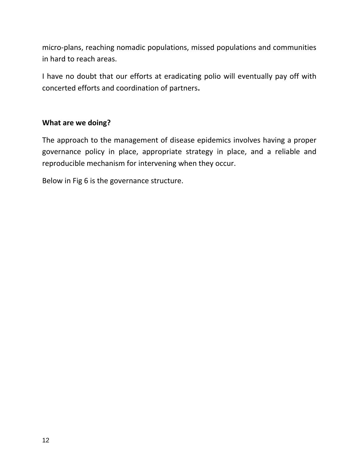micro-plans, reaching nomadic populations, missed populations and communities in hard to reach areas.

I have no doubt that our efforts at eradicating polio will eventually pay off with concerted efforts and coordination of partners**.**

### **What are we doing?**

The approach to the management of disease epidemics involves having a proper governance policy in place, appropriate strategy in place, and a reliable and reproducible mechanism for intervening when they occur.

Below in Fig 6 is the governance structure.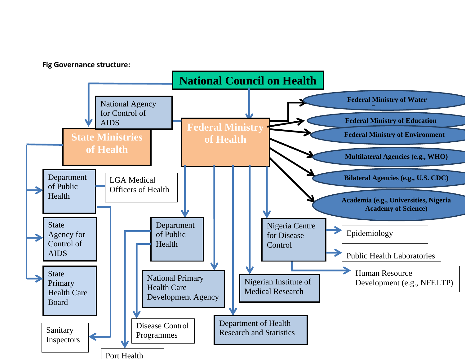#### **Fig Governance structure:**

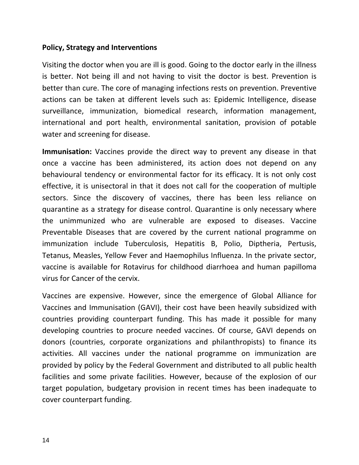#### **Policy, Strategy and Interventions**

Visiting the doctor when you are ill is good. Going to the doctor early in the illness is better. Not being ill and not having to visit the doctor is best. Prevention is better than cure. The core of managing infections rests on prevention. Preventive actions can be taken at different levels such as: Epidemic Intelligence, disease surveillance, immunization, biomedical research, information management, international and port health, environmental sanitation, provision of potable water and screening for disease.

**Immunisation:** Vaccines provide the direct way to prevent any disease in that once a vaccine has been administered, its action does not depend on any behavioural tendency or environmental factor for its efficacy. It is not only cost effective, it is unisectoral in that it does not call for the cooperation of multiple sectors. Since the discovery of vaccines, there has been less reliance on quarantine as a strategy for disease control. Quarantine is only necessary where the unimmunized who are vulnerable are exposed to diseases. Vaccine Preventable Diseases that are covered by the current national programme on immunization include Tuberculosis, Hepatitis B, Polio, Diptheria, Pertusis, Tetanus, Measles, Yellow Fever and Haemophilus Influenza. In the private sector, vaccine is available for Rotavirus for childhood diarrhoea and human papilloma virus for Cancer of the cervix.

Vaccines are expensive. However, since the emergence of Global Alliance for Vaccines and Immunisation (GAVI), their cost have been heavily subsidized with countries providing counterpart funding. This has made it possible for many developing countries to procure needed vaccines. Of course, GAVI depends on donors (countries, corporate organizations and philanthropists) to finance its activities. All vaccines under the national programme on immunization are provided by policy by the Federal Government and distributed to all public health facilities and some private facilities. However, because of the explosion of our target population, budgetary provision in recent times has been inadequate to cover counterpart funding.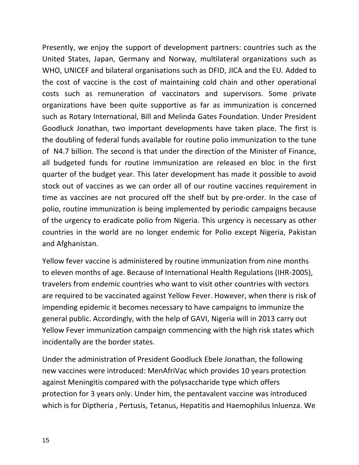Presently, we enjoy the support of development partners: countries such as the United States, Japan, Germany and Norway, multilateral organizations such as WHO, UNICEF and bilateral organisations such as DFID, JICA and the EU. Added to the cost of vaccine is the cost of maintaining cold chain and other operational costs such as remuneration of vaccinators and supervisors. Some private organizations have been quite supportive as far as immunization is concerned such as Rotary International, Bill and Melinda Gates Foundation. Under President Goodluck Jonathan, two important developments have taken place. The first is the doubling of federal funds available for routine polio immunization to the tune of N4.7 billion. The second is that under the direction of the Minister of Finance, all budgeted funds for routine immunization are released en bloc in the first quarter of the budget year. This later development has made it possible to avoid stock out of vaccines as we can order all of our routine vaccines requirement in time as vaccines are not procured off the shelf but by pre-order. In the case of polio, routine immunization is being implemented by periodic campaigns because of the urgency to eradicate polio from Nigeria. This urgency is necessary as other countries in the world are no longer endemic for Polio except Nigeria, Pakistan and Afghanistan.

Yellow fever vaccine is administered by routine immunization from nine months to eleven months of age. Because of International Health Regulations (IHR-2005), travelers from endemic countries who want to visit other countries with vectors are required to be vaccinated against Yellow Fever. However, when there is risk of impending epidemic it becomes necessary to have campaigns to immunize the general public. Accordingly, with the help of GAVI, Nigeria will in 2013 carry out Yellow Fever immunization campaign commencing with the high risk states which incidentally are the border states.

Under the administration of President Goodluck Ebele Jonathan, the following new vaccines were introduced: MenAfriVac which provides 10 years protection against Meningitis compared with the polysaccharide type which offers protection for 3 years only. Under him, the pentavalent vaccine was introduced which is for Diptheria , Pertusis, Tetanus, Hepatitis and Haemophilus Inluenza. We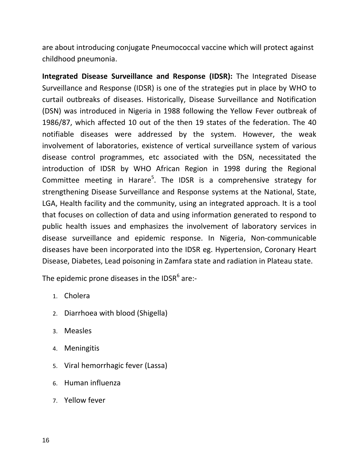are about introducing conjugate Pneumococcal vaccine which will protect against childhood pneumonia.

**Integrated Disease Surveillance and Response (IDSR):** The Integrated Disease Surveillance and Response (IDSR) is one of the strategies put in place by WHO to curtail outbreaks of diseases. Historically, Disease Surveillance and Notification (DSN) was introduced in Nigeria in 1988 following the Yellow Fever outbreak of 1986/87, which affected 10 out of the then 19 states of the federation. The 40 notifiable diseases were addressed by the system. However, the weak involvement of laboratories, existence of vertical surveillance system of various disease control programmes, etc associated with the DSN, necessitated the introduction of IDSR by WHO African Region in 1998 during the Regional Committee meeting in Harare<sup>5</sup>. The IDSR is a comprehensive strategy for strengthening Disease Surveillance and Response systems at the National, State, LGA, Health facility and the community, using an integrated approach. It is a tool that focuses on collection of data and using information generated to respond to public health issues and emphasizes the involvement of laboratory services in disease surveillance and epidemic response. In Nigeria, Non-communicable diseases have been incorporated into the IDSR eg. Hypertension, Coronary Heart Disease, Diabetes, Lead poisoning in Zamfara state and radiation in Plateau state.

The epidemic prone diseases in the IDSR<sup>6</sup> are:-

- 1. Cholera
- 2. Diarrhoea with blood (Shigella)
- 3. Measles
- 4. Meningitis
- 5. Viral hemorrhagic fever (Lassa)
- 6. Human influenza
- 7. Yellow fever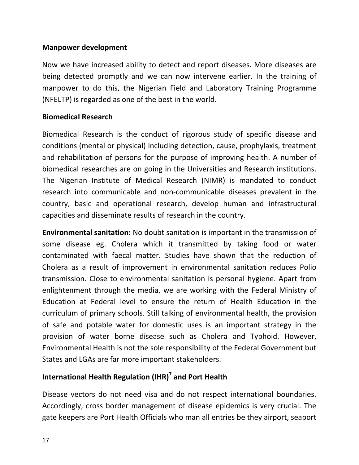### **Manpower development**

Now we have increased ability to detect and report diseases. More diseases are being detected promptly and we can now intervene earlier. In the training of manpower to do this, the Nigerian Field and Laboratory Training Programme (NFELTP) is regarded as one of the best in the world.

### **Biomedical Research**

Biomedical Research is the conduct of rigorous study of specific disease and conditions (mental or physical) including detection, cause, prophylaxis, treatment and rehabilitation of persons for the purpose of improving health. A number of biomedical researches are on going in the Universities and Research institutions. The Nigerian Institute of Medical Research (NIMR) is mandated to conduct research into communicable and non-communicable diseases prevalent in the country, basic and operational research, develop human and infrastructural capacities and disseminate results of research in the country.

**Environmental sanitation:** No doubt sanitation is important in the transmission of some disease eg. Cholera which it transmitted by taking food or water contaminated with faecal matter. Studies have shown that the reduction of Cholera as a result of improvement in environmental sanitation reduces Polio transmission. Close to environmental sanitation is personal hygiene. Apart from enlightenment through the media, we are working with the Federal Ministry of Education at Federal level to ensure the return of Health Education in the curriculum of primary schools. Still talking of environmental health, the provision of safe and potable water for domestic uses is an important strategy in the provision of water borne disease such as Cholera and Typhoid. However, Environmental Health is not the sole responsibility of the Federal Government but States and LGAs are far more important stakeholders.

## **International Health Regulation (IHR)<sup>7</sup> and Port Health**

Disease vectors do not need visa and do not respect international boundaries. Accordingly, cross border management of disease epidemics is very crucial. The gate keepers are Port Health Officials who man all entries be they airport, seaport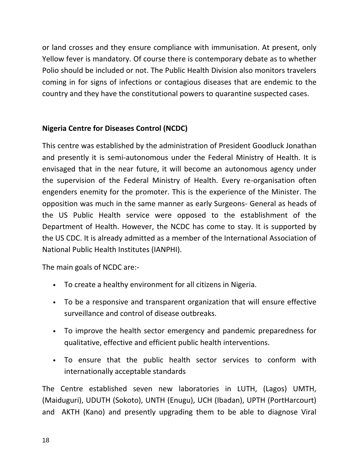or land crosses and they ensure compliance with immunisation. At present, only Yellow fever is mandatory. Of course there is contemporary debate as to whether Polio should be included or not. The Public Health Division also monitors travelers coming in for signs of infections or contagious diseases that are endemic to the country and they have the constitutional powers to quarantine suspected cases.

### **Nigeria Centre for Diseases Control (NCDC)**

This centre was established by the administration of President Goodluck Jonathan and presently it is semi-autonomous under the Federal Ministry of Health. It is envisaged that in the near future, it will become an autonomous agency under the supervision of the Federal Ministry of Health. Every re-organisation often engenders enemity for the promoter. This is the experience of the Minister. The opposition was much in the same manner as early Surgeons- General as heads of the US Public Health service were opposed to the establishment of the Department of Health. However, the NCDC has come to stay. It is supported by the US CDC. It is already admitted as a member of the International Association of National Public Health Institutes (IANPHI).

The main goals of NCDC are:-

- To create a healthy environment for all citizens in Nigeria.
- To be a responsive and transparent organization that will ensure effective surveillance and control of disease outbreaks.
- To improve the health sector emergency and pandemic preparedness for qualitative, effective and efficient public health interventions.
- To ensure that the public health sector services to conform with internationally acceptable standards

The Centre established seven new laboratories in LUTH, (Lagos) UMTH, (Maiduguri), UDUTH (Sokoto), UNTH (Enugu), UCH (Ibadan), UPTH (PortHarcourt) and AKTH (Kano) and presently upgrading them to be able to diagnose Viral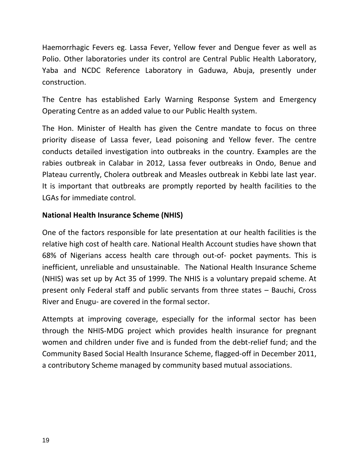Haemorrhagic Fevers eg. Lassa Fever, Yellow fever and Dengue fever as well as Polio. Other laboratories under its control are Central Public Health Laboratory, Yaba and NCDC Reference Laboratory in Gaduwa, Abuja, presently under construction.

The Centre has established Early Warning Response System and Emergency Operating Centre as an added value to our Public Health system.

The Hon. Minister of Health has given the Centre mandate to focus on three priority disease of Lassa fever, Lead poisoning and Yellow fever. The centre conducts detailed investigation into outbreaks in the country. Examples are the rabies outbreak in Calabar in 2012, Lassa fever outbreaks in Ondo, Benue and Plateau currently, Cholera outbreak and Measles outbreak in Kebbi late last year. It is important that outbreaks are promptly reported by health facilities to the LGAs for immediate control.

### **National Health Insurance Scheme (NHIS)**

One of the factors responsible for late presentation at our health facilities is the relative high cost of health care. National Health Account studies have shown that 68% of Nigerians access health care through out-of- pocket payments. This is inefficient, unreliable and unsustainable. The National Health Insurance Scheme (NHIS) was set up by Act 35 of 1999. The NHIS is a voluntary prepaid scheme. At present only Federal staff and public servants from three states – Bauchi, Cross River and Enugu- are covered in the formal sector.

Attempts at improving coverage, especially for the informal sector has been through the NHIS-MDG project which provides health insurance for pregnant women and children under five and is funded from the debt-relief fund; and the Community Based Social Health Insurance Scheme, flagged-off in December 2011, a contributory Scheme managed by community based mutual associations.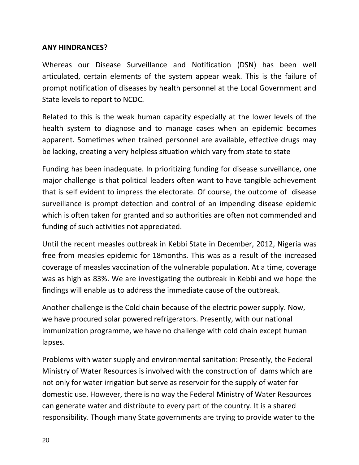#### **ANY HINDRANCES?**

Whereas our Disease Surveillance and Notification (DSN) has been well articulated, certain elements of the system appear weak. This is the failure of prompt notification of diseases by health personnel at the Local Government and State levels to report to NCDC.

Related to this is the weak human capacity especially at the lower levels of the health system to diagnose and to manage cases when an epidemic becomes apparent. Sometimes when trained personnel are available, effective drugs may be lacking, creating a very helpless situation which vary from state to state

Funding has been inadequate. In prioritizing funding for disease surveillance, one major challenge is that political leaders often want to have tangible achievement that is self evident to impress the electorate. Of course, the outcome of disease surveillance is prompt detection and control of an impending disease epidemic which is often taken for granted and so authorities are often not commended and funding of such activities not appreciated.

Until the recent measles outbreak in Kebbi State in December, 2012, Nigeria was free from measles epidemic for 18months. This was as a result of the increased coverage of measles vaccination of the vulnerable population. At a time, coverage was as high as 83%. We are investigating the outbreak in Kebbi and we hope the findings will enable us to address the immediate cause of the outbreak.

Another challenge is the Cold chain because of the electric power supply. Now, we have procured solar powered refrigerators. Presently, with our national immunization programme, we have no challenge with cold chain except human lapses.

Problems with water supply and environmental sanitation: Presently, the Federal Ministry of Water Resources is involved with the construction of dams which are not only for water irrigation but serve as reservoir for the supply of water for domestic use. However, there is no way the Federal Ministry of Water Resources can generate water and distribute to every part of the country. It is a shared responsibility. Though many State governments are trying to provide water to the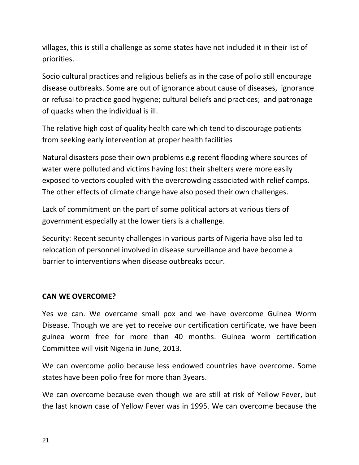villages, this is still a challenge as some states have not included it in their list of priorities.

Socio cultural practices and religious beliefs as in the case of polio still encourage disease outbreaks. Some are out of ignorance about cause of diseases, ignorance or refusal to practice good hygiene; cultural beliefs and practices; and patronage of quacks when the individual is ill.

The relative high cost of quality health care which tend to discourage patients from seeking early intervention at proper health facilities

Natural disasters pose their own problems e.g recent flooding where sources of water were polluted and victims having lost their shelters were more easily exposed to vectors coupled with the overcrowding associated with relief camps. The other effects of climate change have also posed their own challenges.

Lack of commitment on the part of some political actors at various tiers of government especially at the lower tiers is a challenge.

Security: Recent security challenges in various parts of Nigeria have also led to relocation of personnel involved in disease surveillance and have become a barrier to interventions when disease outbreaks occur.

### **CAN WE OVERCOME?**

Yes we can. We overcame small pox and we have overcome Guinea Worm Disease. Though we are yet to receive our certification certificate, we have been guinea worm free for more than 40 months. Guinea worm certification Committee will visit Nigeria in June, 2013.

We can overcome polio because less endowed countries have overcome. Some states have been polio free for more than 3years.

We can overcome because even though we are still at risk of Yellow Fever, but the last known case of Yellow Fever was in 1995. We can overcome because the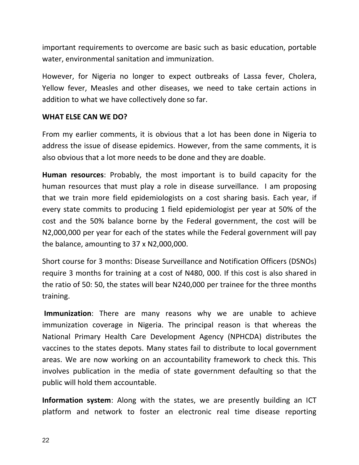important requirements to overcome are basic such as basic education, portable water, environmental sanitation and immunization.

However, for Nigeria no longer to expect outbreaks of Lassa fever, Cholera, Yellow fever, Measles and other diseases, we need to take certain actions in addition to what we have collectively done so far.

#### **WHAT ELSE CAN WE DO?**

From my earlier comments, it is obvious that a lot has been done in Nigeria to address the issue of disease epidemics. However, from the same comments, it is also obvious that a lot more needs to be done and they are doable.

**Human resources**: Probably, the most important is to build capacity for the human resources that must play a role in disease surveillance. I am proposing that we train more field epidemiologists on a cost sharing basis. Each year, if every state commits to producing 1 field epidemiologist per year at 50% of the cost and the 50% balance borne by the Federal government, the cost will be N2,000,000 per year for each of the states while the Federal government will pay the balance, amounting to 37 x N2,000,000.

Short course for 3 months: Disease Surveillance and Notification Officers (DSNOs) require 3 months for training at a cost of N480, 000. If this cost is also shared in the ratio of 50: 50, the states will bear N240,000 per trainee for the three months training.

**Immunization**: There are many reasons why we are unable to achieve immunization coverage in Nigeria. The principal reason is that whereas the National Primary Health Care Development Agency (NPHCDA) distributes the vaccines to the states depots. Many states fail to distribute to local government areas. We are now working on an accountability framework to check this. This involves publication in the media of state government defaulting so that the public will hold them accountable.

**Information system**: Along with the states, we are presently building an ICT platform and network to foster an electronic real time disease reporting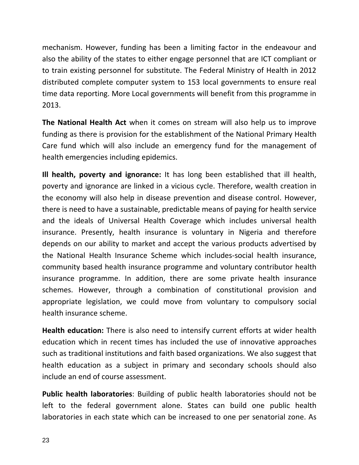mechanism. However, funding has been a limiting factor in the endeavour and also the ability of the states to either engage personnel that are ICT compliant or to train existing personnel for substitute. The Federal Ministry of Health in 2012 distributed complete computer system to 153 local governments to ensure real time data reporting. More Local governments will benefit from this programme in 2013.

**The National Health Act** when it comes on stream will also help us to improve funding as there is provision for the establishment of the National Primary Health Care fund which will also include an emergency fund for the management of health emergencies including epidemics.

**Ill health, poverty and ignorance:** It has long been established that ill health, poverty and ignorance are linked in a vicious cycle. Therefore, wealth creation in the economy will also help in disease prevention and disease control. However, there is need to have a sustainable, predictable means of paying for health service and the ideals of Universal Health Coverage which includes universal health insurance. Presently, health insurance is voluntary in Nigeria and therefore depends on our ability to market and accept the various products advertised by the National Health Insurance Scheme which includes-social health insurance, community based health insurance programme and voluntary contributor health insurance programme. In addition, there are some private health insurance schemes. However, through a combination of constitutional provision and appropriate legislation, we could move from voluntary to compulsory social health insurance scheme.

**Health education:** There is also need to intensify current efforts at wider health education which in recent times has included the use of innovative approaches such as traditional institutions and faith based organizations. We also suggest that health education as a subject in primary and secondary schools should also include an end of course assessment.

**Public health laboratories**: Building of public health laboratories should not be left to the federal government alone. States can build one public health laboratories in each state which can be increased to one per senatorial zone. As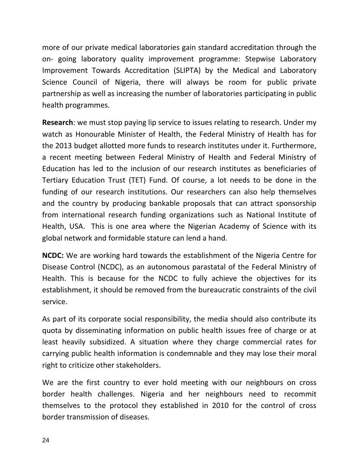more of our private medical laboratories gain standard accreditation through the on- going laboratory quality improvement programme: Stepwise Laboratory Improvement Towards Accreditation (SLIPTA) by the Medical and Laboratory Science Council of Nigeria, there will always be room for public private partnership as well as increasing the number of laboratories participating in public health programmes.

**Research**: we must stop paying lip service to issues relating to research. Under my watch as Honourable Minister of Health, the Federal Ministry of Health has for the 2013 budget allotted more funds to research institutes under it. Furthermore, a recent meeting between Federal Ministry of Health and Federal Ministry of Education has led to the inclusion of our research institutes as beneficiaries of Tertiary Education Trust (TET) Fund. Of course, a lot needs to be done in the funding of our research institutions. Our researchers can also help themselves and the country by producing bankable proposals that can attract sponsorship from international research funding organizations such as National Institute of Health, USA. This is one area where the Nigerian Academy of Science with its global network and formidable stature can lend a hand.

**NCDC:** We are working hard towards the establishment of the Nigeria Centre for Disease Control (NCDC), as an autonomous parastatal of the Federal Ministry of Health. This is because for the NCDC to fully achieve the objectives for its establishment, it should be removed from the bureaucratic constraints of the civil service.

As part of its corporate social responsibility, the media should also contribute its quota by disseminating information on public health issues free of charge or at least heavily subsidized. A situation where they charge commercial rates for carrying public health information is condemnable and they may lose their moral right to criticize other stakeholders.

We are the first country to ever hold meeting with our neighbours on cross border health challenges. Nigeria and her neighbours need to recommit themselves to the protocol they established in 2010 for the control of cross border transmission of diseases.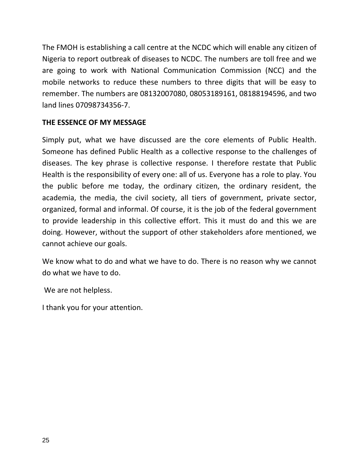The FMOH is establishing a call centre at the NCDC which will enable any citizen of Nigeria to report outbreak of diseases to NCDC. The numbers are toll free and we are going to work with National Communication Commission (NCC) and the mobile networks to reduce these numbers to three digits that will be easy to remember. The numbers are 08132007080, 08053189161, 08188194596, and two land lines 07098734356-7.

### **THE ESSENCE OF MY MESSAGE**

Simply put, what we have discussed are the core elements of Public Health. Someone has defined Public Health as a collective response to the challenges of diseases. The key phrase is collective response. I therefore restate that Public Health is the responsibility of every one: all of us. Everyone has a role to play. You the public before me today, the ordinary citizen, the ordinary resident, the academia, the media, the civil society, all tiers of government, private sector, organized, formal and informal. Of course, it is the job of the federal government to provide leadership in this collective effort. This it must do and this we are doing. However, without the support of other stakeholders afore mentioned, we cannot achieve our goals.

We know what to do and what we have to do. There is no reason why we cannot do what we have to do.

We are not helpless.

I thank you for your attention.